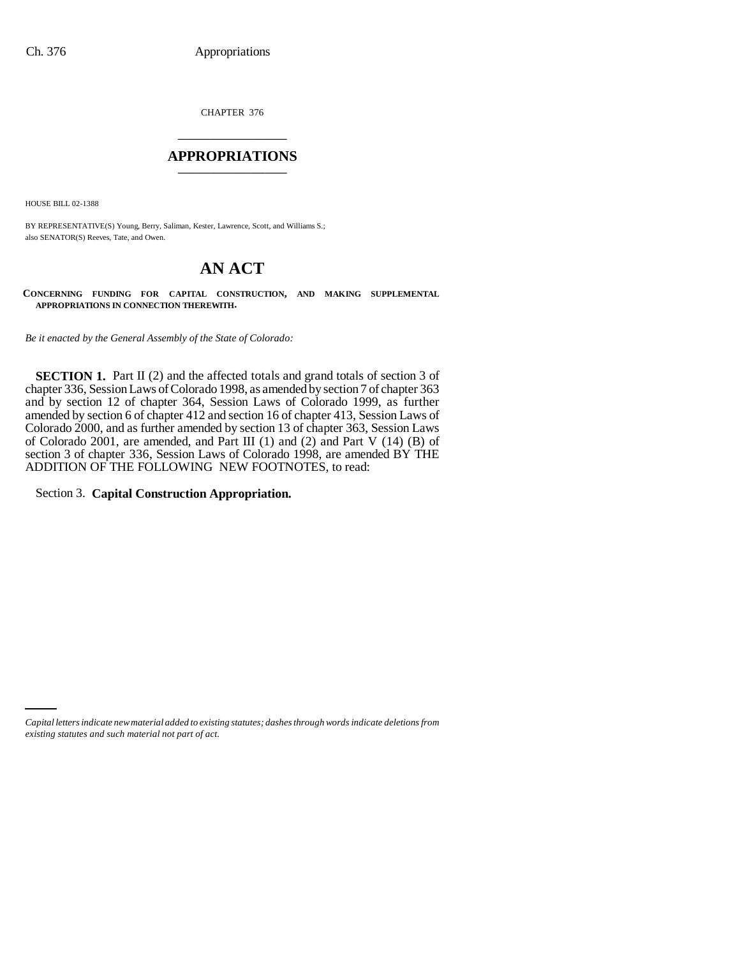CHAPTER 376 \_\_\_\_\_\_\_\_\_\_\_\_\_\_\_

## **APPROPRIATIONS** \_\_\_\_\_\_\_\_\_\_\_\_\_\_\_

HOUSE BILL 02-1388

BY REPRESENTATIVE(S) Young, Berry, Saliman, Kester, Lawrence, Scott, and Williams S.; also SENATOR(S) Reeves, Tate, and Owen.

# **AN ACT**

**CONCERNING FUNDING FOR CAPITAL CONSTRUCTION, AND MAKING SUPPLEMENTAL APPROPRIATIONS IN CONNECTION THEREWITH.**

*Be it enacted by the General Assembly of the State of Colorado:*

**SECTION 1.** Part II (2) and the affected totals and grand totals of section 3 of chapter 336, Session Laws of Colorado 1998, as amended by section 7 of chapter 363 and by section 12 of chapter 364, Session Laws of Colorado 1999, as further amended by section 6 of chapter 412 and section 16 of chapter 413, Session Laws of Colorado 2000, and as further amended by section 13 of chapter 363, Session Laws of Colorado 2001, are amended, and Part III (1) and (2) and Part V (14) (B) of section 3 of chapter 336, Session Laws of Colorado 1998, are amended BY THE ADDITION OF THE FOLLOWING NEW FOOTNOTES, to read:

Section 3. **Capital Construction Appropriation.**

*Capital letters indicate new material added to existing statutes; dashes through words indicate deletions from existing statutes and such material not part of act.*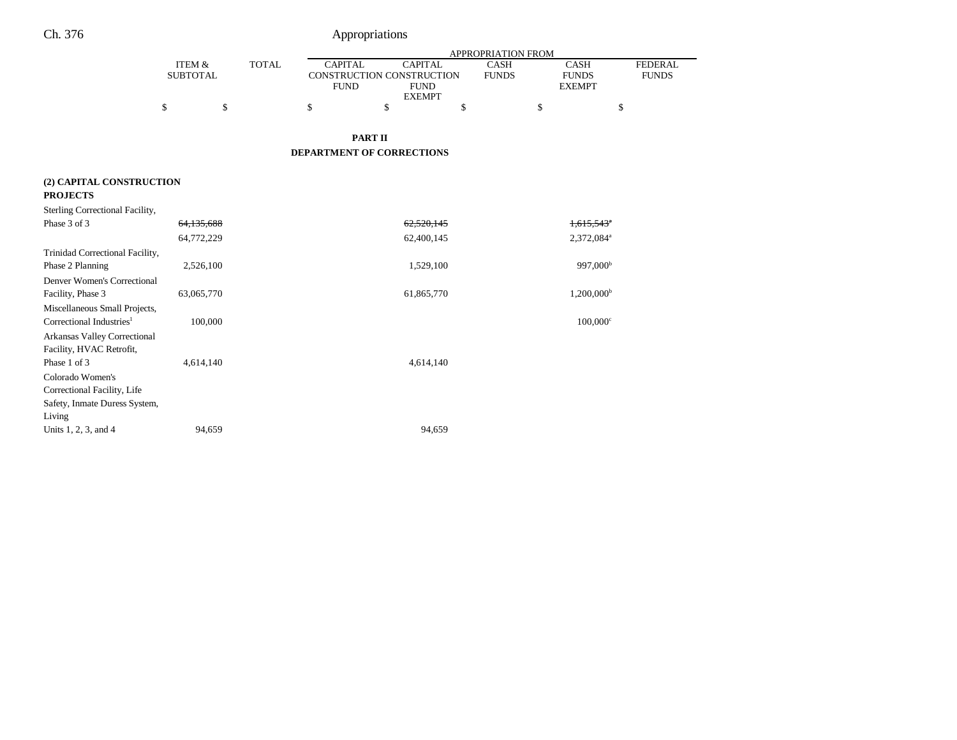|                                             |                                      |              | APPROPRIATION FROM        |                                                                                                              |    |                                       |                                |
|---------------------------------------------|--------------------------------------|--------------|---------------------------|--------------------------------------------------------------------------------------------------------------|----|---------------------------------------|--------------------------------|
|                                             | <b>ITEM &amp;</b><br><b>SUBTOTAL</b> | <b>TOTAL</b> |                           | <b>CAPITAL</b><br><b>CAPITAL</b><br>CONSTRUCTION CONSTRUCTION<br><b>FUND</b><br><b>FUND</b><br><b>EXEMPT</b> |    | CASH<br><b>FUNDS</b><br><b>EXEMPT</b> | <b>FEDERAL</b><br><b>FUNDS</b> |
|                                             | \$<br>\$                             |              | \$                        | \$                                                                                                           | \$ | \$                                    | \$                             |
|                                             |                                      |              | <b>PART II</b>            |                                                                                                              |    |                                       |                                |
|                                             |                                      |              | DEPARTMENT OF CORRECTIONS |                                                                                                              |    |                                       |                                |
| (2) CAPITAL CONSTRUCTION<br><b>PROJECTS</b> |                                      |              |                           |                                                                                                              |    |                                       |                                |
| Sterling Correctional Facility,             |                                      |              |                           |                                                                                                              |    |                                       |                                |
| Phase 3 of 3                                | 64,135,688                           |              |                           | 62,520,145                                                                                                   |    | $1,615,543$ <sup>*</sup>              |                                |
|                                             | 64,772,229                           |              |                           | 62,400,145                                                                                                   |    | 2,372,084 <sup>a</sup>                |                                |
| Trinidad Correctional Facility,             |                                      |              |                           |                                                                                                              |    |                                       |                                |
| Phase 2 Planning                            | 2,526,100                            |              |                           | 1,529,100                                                                                                    |    | 997,000 <sup>b</sup>                  |                                |
| Denver Women's Correctional                 |                                      |              |                           |                                                                                                              |    |                                       |                                |
| Facility, Phase 3                           | 63,065,770                           |              |                           | 61,865,770                                                                                                   |    | 1,200,000 <sup>b</sup>                |                                |
| Miscellaneous Small Projects,               |                                      |              |                           |                                                                                                              |    |                                       |                                |
| Correctional Industries <sup>1</sup>        | 100,000                              |              |                           |                                                                                                              |    | $100,000$ <sup>c</sup>                |                                |
| Arkansas Valley Correctional                |                                      |              |                           |                                                                                                              |    |                                       |                                |
| Facility, HVAC Retrofit,                    |                                      |              |                           |                                                                                                              |    |                                       |                                |
| Phase 1 of 3                                | 4,614,140                            |              |                           | 4,614,140                                                                                                    |    |                                       |                                |
| Colorado Women's                            |                                      |              |                           |                                                                                                              |    |                                       |                                |
| Correctional Facility, Life                 |                                      |              |                           |                                                                                                              |    |                                       |                                |
| Safety, Inmate Duress System,               |                                      |              |                           |                                                                                                              |    |                                       |                                |
| Living                                      |                                      |              |                           |                                                                                                              |    |                                       |                                |
| Units 1, 2, 3, and 4                        | 94,659                               |              |                           | 94,659                                                                                                       |    |                                       |                                |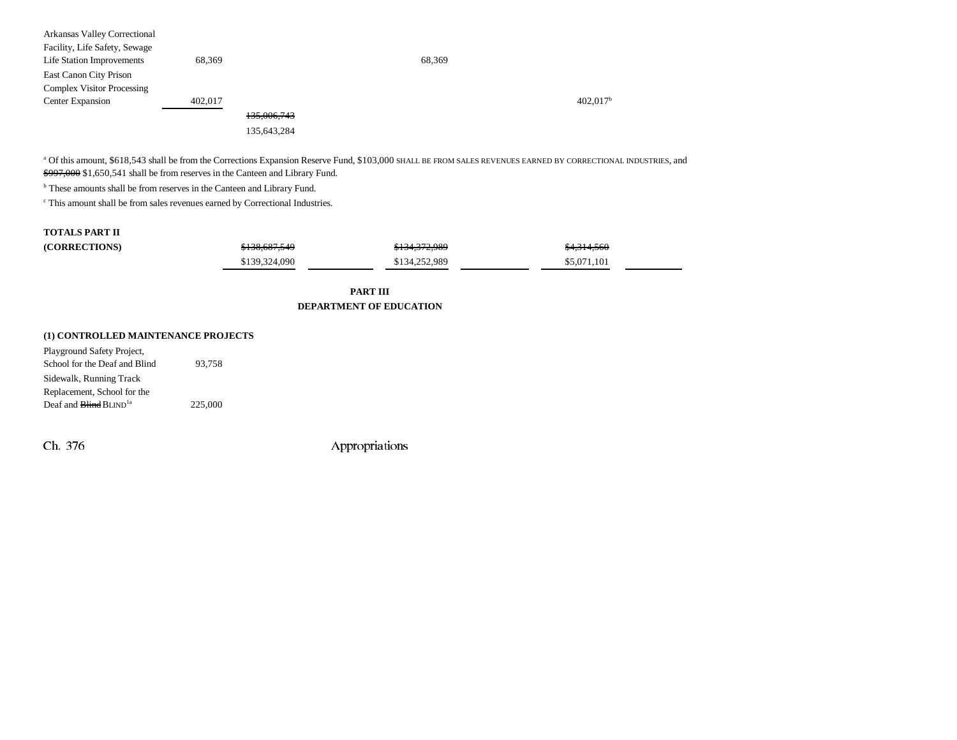| Arkansas Valley Correctional      |         |             |        |                        |
|-----------------------------------|---------|-------------|--------|------------------------|
| Facility, Life Safety, Sewage     |         |             |        |                        |
| Life Station Improvements         | 68,369  |             | 68,369 |                        |
| East Canon City Prison            |         |             |        |                        |
| <b>Complex Visitor Processing</b> |         |             |        |                        |
| Center Expansion                  | 402,017 |             |        | $402,017$ <sup>b</sup> |
|                                   |         | 135,006,743 |        |                        |
|                                   |         | 135,643,284 |        |                        |

a Of this amount, \$618,543 shall be from the Corrections Expansion Reserve Fund, \$103,000 SHALL BE FROM SALES REVENUES EARNED BY CORRECTIONAL INDUSTRIES, and \$997,000 \$1,650,541 shall be from reserves in the Canteen and Library Fund.

**b** These amounts shall be from reserves in the Canteen and Library Fund.

 $^{\mathrm{c}}$  This amount shall be from sales revenues earned by Correctional Industries.

### **TOTALS PART II**

| <b>(CORRECTIONS)</b> | <del>\$138,687,549</del> | \$134,372,989 | \$4,314,560 |
|----------------------|--------------------------|---------------|-------------|
|                      | \$139,324,090            | \$134,252,989 | \$5,071,101 |

**PART IIIDEPARTMENT OF EDUCATION**

### **(1) CONTROLLED MAINTENANCE PROJECTS**

| Playground Safety Project,                |         |
|-------------------------------------------|---------|
| School for the Deaf and Blind             | 93.758  |
| Sidewalk, Running Track                   |         |
| Replacement, School for the               |         |
| Deaf and <b>Blind</b> BLIND <sup>1a</sup> | 225,000 |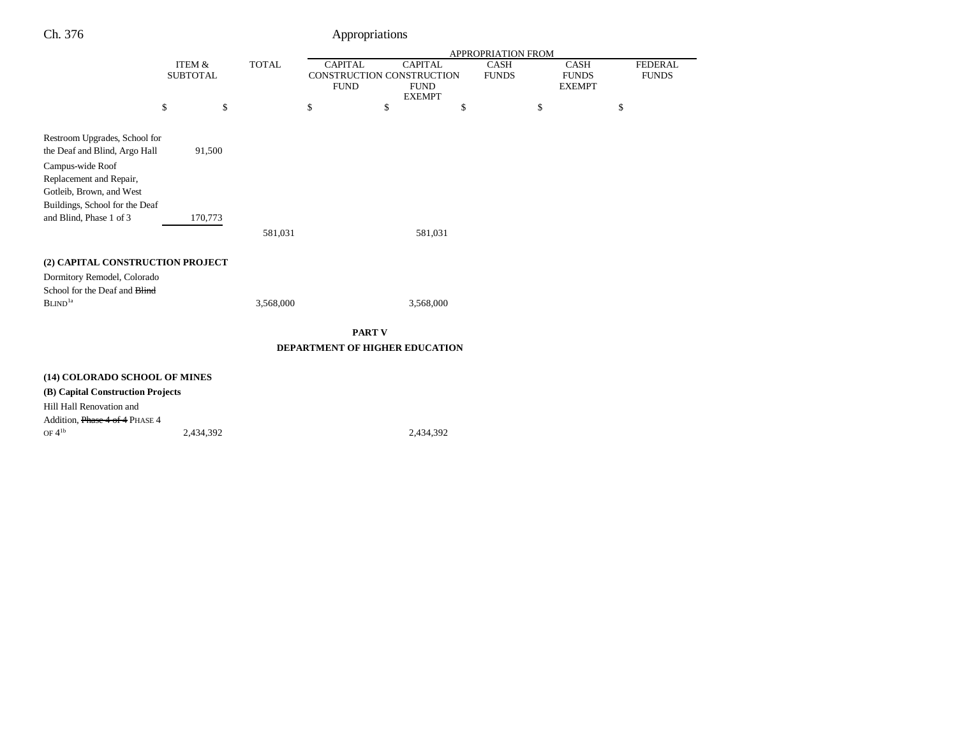|                                                                                            |                                      |         |              |                                                            |               |                                                | APPROPRIATION FROM          |                                              |                                |
|--------------------------------------------------------------------------------------------|--------------------------------------|---------|--------------|------------------------------------------------------------|---------------|------------------------------------------------|-----------------------------|----------------------------------------------|--------------------------------|
|                                                                                            | <b>ITEM &amp;</b><br><b>SUBTOTAL</b> |         | <b>TOTAL</b> | <b>CAPITAL</b><br>CONSTRUCTION CONSTRUCTION<br><b>FUND</b> |               | <b>CAPITAL</b><br><b>FUND</b><br><b>EXEMPT</b> | <b>CASH</b><br><b>FUNDS</b> | <b>CASH</b><br><b>FUNDS</b><br><b>EXEMPT</b> | <b>FEDERAL</b><br><b>FUNDS</b> |
|                                                                                            | \$                                   | \$      |              | \$                                                         | \$            | \$                                             |                             | \$<br>\$                                     |                                |
| Restroom Upgrades, School for<br>the Deaf and Blind, Argo Hall<br>Campus-wide Roof         |                                      | 91,500  |              |                                                            |               |                                                |                             |                                              |                                |
| Replacement and Repair,<br>Gotleib, Brown, and West<br>Buildings, School for the Deaf      |                                      |         |              |                                                            |               |                                                |                             |                                              |                                |
| and Blind, Phase 1 of 3                                                                    |                                      | 170,773 | 581,031      |                                                            |               | 581,031                                        |                             |                                              |                                |
| (2) CAPITAL CONSTRUCTION PROJECT                                                           |                                      |         |              |                                                            |               |                                                |                             |                                              |                                |
| Dormitory Remodel, Colorado<br>School for the Deaf and <b>Blind</b><br>BLIND <sup>1a</sup> |                                      |         | 3,568,000    |                                                            |               | 3,568,000                                      |                             |                                              |                                |
|                                                                                            |                                      |         |              |                                                            | <b>PART V</b> |                                                |                             |                                              |                                |
|                                                                                            |                                      |         |              | DEPARTMENT OF HIGHER EDUCATION                             |               |                                                |                             |                                              |                                |
| (14) COLORADO SCHOOL OF MINES                                                              |                                      |         |              |                                                            |               |                                                |                             |                                              |                                |
| (B) Capital Construction Projects                                                          |                                      |         |              |                                                            |               |                                                |                             |                                              |                                |
| Hill Hall Renovation and                                                                   |                                      |         |              |                                                            |               |                                                |                             |                                              |                                |
| Addition, Phase 4 of 4 PHASE 4                                                             |                                      |         |              |                                                            |               |                                                |                             |                                              |                                |

OF 4<sup>1b</sup> 2,434,392 2,434,392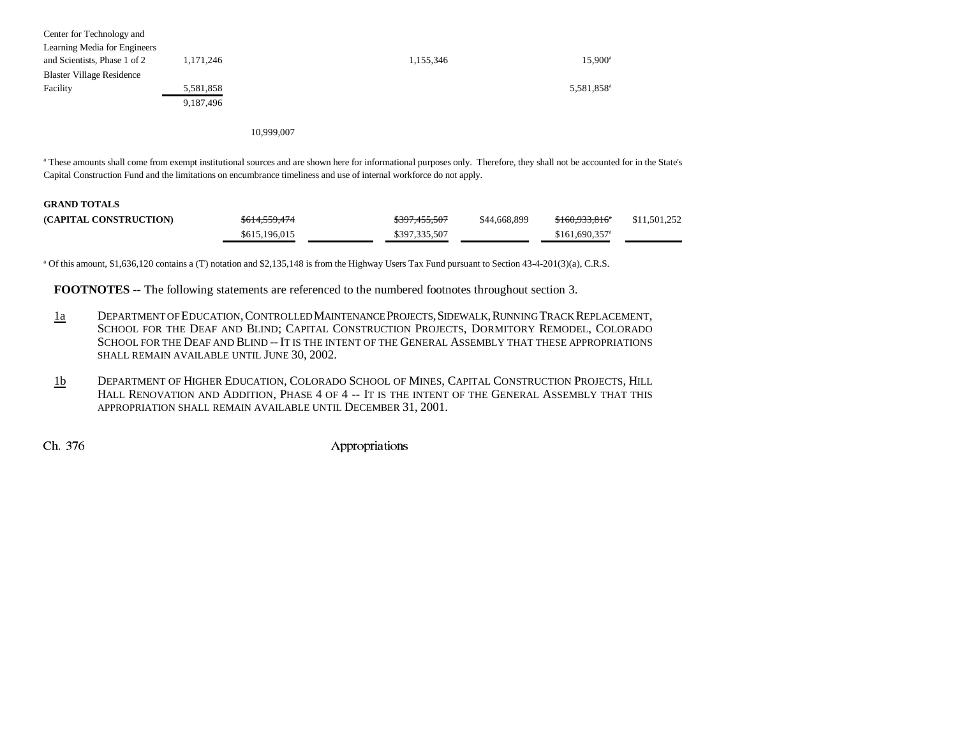| 1,171,246 | 1,155,346 | $15.900^{\circ}$       |
|-----------|-----------|------------------------|
|           |           |                        |
| 5,581,858 |           | 5,581,858 <sup>a</sup> |
| 9,187,496 |           |                        |
|           |           |                        |

10,999,007

a These amounts shall come from exempt institutional sources and are shown here for informational purposes only. Therefore, they shall not be accounted for in the State's Capital Construction Fund and the limitations on encumbrance timeliness and use of internal workforce do not apply.

### **GRAND TOTALS**

| (CAPITAL CONSTRUCTION) | \$614,559,474 | \$397,455,507 | \$44,668,899 | <del>\$160.933.816</del> * | \$11,501,252 |
|------------------------|---------------|---------------|--------------|----------------------------|--------------|
|                        | \$615,196,015 | \$397,335,507 |              | \$161.690.357 <sup>a</sup> |              |

a Of this amount, \$1,636,120 contains a (T) notation and \$2,135,148 is from the Highway Users Tax Fund pursuant to Section 43-4-201(3)(a), C.R.S.

**FOOTNOTES** -- The following statements are referenced to the numbered footnotes throughout section 3.

- 1a DEPARTMENT OF EDUCATION, CONTROLLED MAINTENANCE PROJECTS, SIDEWALK, RUNNING TRACK REPLACEMENT, SCHOOL FOR THE DEAF AND BLIND; CAPITAL CONSTRUCTION PROJECTS, DORMITORY REMODEL, COLORADO SCHOOL FOR THE DEAF AND BLIND -- IT IS THE INTENT OF THE GENERAL ASSEMBLY THAT THESE APPROPRIATIONSSHALL REMAIN AVAILABLE UNTIL JUNE 30, 2002.
- 1b DEPARTMENT OF HIGHER EDUCATION, COLORADO SCHOOL OF MINES, CAPITAL CONSTRUCTION PROJECTS, HILL HALL RENOVATION AND ADDITION, PHASE 4 OF 4 -- IT IS THE INTENT OF THE GENERAL ASSEMBLY THAT THIS APPROPRIATION SHALL REMAIN AVAILABLE UNTIL DECEMBER 31, 2001.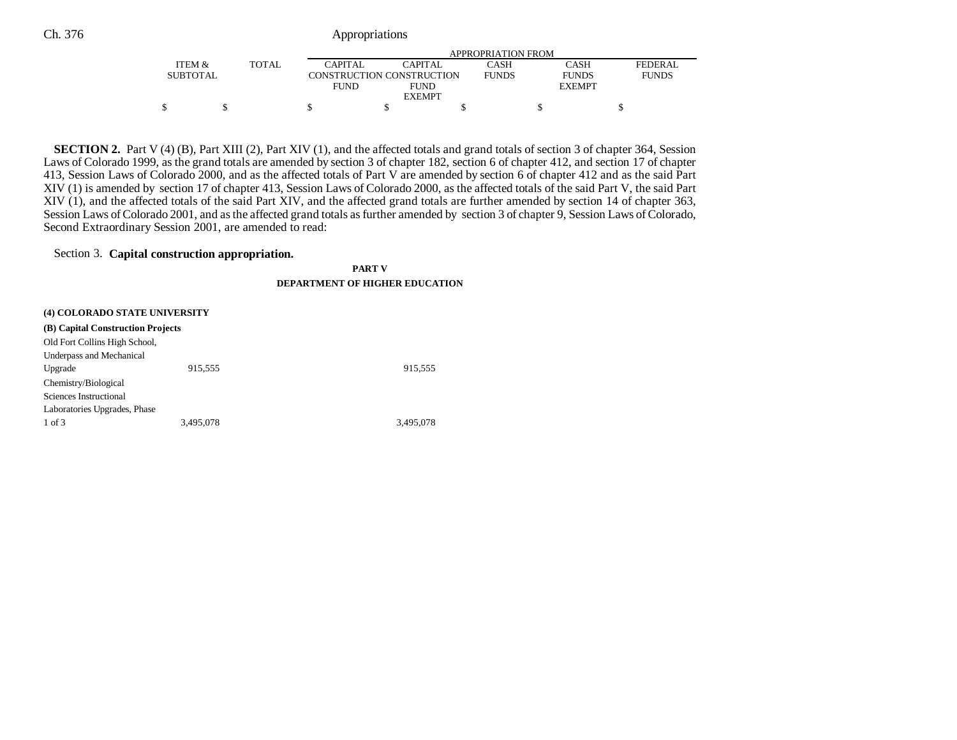|                 |       |             | APPROPRIATION FROM        |              |               |                |  |  |
|-----------------|-------|-------------|---------------------------|--------------|---------------|----------------|--|--|
| ITEM &          | TOTAL | CAPITAL     | CAPITAL                   | <b>CASH</b>  | CASH          | <b>FEDERAL</b> |  |  |
| <b>SUBTOTAL</b> |       |             | CONSTRUCTION CONSTRUCTION | <b>FUNDS</b> | <b>FUNDS</b>  | <b>FUNDS</b>   |  |  |
|                 |       | <b>FUND</b> | <b>FUND</b>               |              | <b>EXEMPT</b> |                |  |  |
|                 |       |             | <b>EXEMPT</b>             |              |               |                |  |  |
|                 |       |             |                           |              |               |                |  |  |

**SECTION 2.** Part V (4) (B), Part XIII (2), Part XIV (1), and the affected totals and grand totals of section 3 of chapter 364, Session Laws of Colorado 1999, as the grand totals are amended by section 3 of chapter 182, section 6 of chapter 412, and section 17 of chapter 413, Session Laws of Colorado 2000, and as the affected totals of Part V are amended by section 6 of chapter 412 and as the said Part XIV (1) is amended by section 17 of chapter 413, Session Laws of Colorado 2000, as the affected totals of the said Part V, the said Part XIV (1), and the affected totals of the said Part XIV, and the affected grand totals are further amended by section 14 of chapter 363, Session Laws of Colorado 2001, and as the affected grand totals as further amended by section 3 of chapter 9, Session Laws of Colorado, Second Extraordinary Session 2001, are amended to read:

## Section 3. **Capital construction appropriation.**

**PART V**

### **DEPARTMENT OF HIGHER EDUCATION**

| (4) COLORADO STATE UNIVERSITY     |           |           |  |  |  |  |
|-----------------------------------|-----------|-----------|--|--|--|--|
| (B) Capital Construction Projects |           |           |  |  |  |  |
| Old Fort Collins High School,     |           |           |  |  |  |  |
| Underpass and Mechanical          |           |           |  |  |  |  |
| Upgrade                           | 915,555   | 915,555   |  |  |  |  |
| Chemistry/Biological              |           |           |  |  |  |  |
| Sciences Instructional            |           |           |  |  |  |  |
| Laboratories Upgrades, Phase      |           |           |  |  |  |  |
| 1 of 3                            | 3.495.078 | 3.495.078 |  |  |  |  |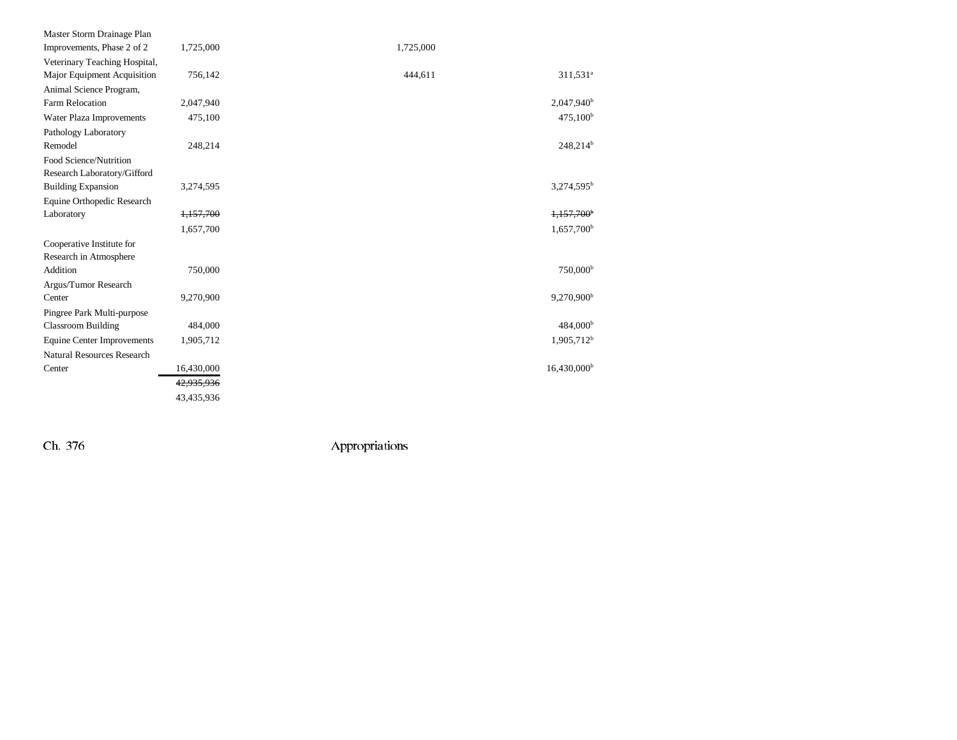| Master Storm Drainage Plan        |            |           |                         |
|-----------------------------------|------------|-----------|-------------------------|
| Improvements, Phase 2 of 2        | 1,725,000  | 1,725,000 |                         |
| Veterinary Teaching Hospital,     |            |           |                         |
| Major Equipment Acquisition       | 756,142    | 444,611   | 311,531 <sup>a</sup>    |
| Animal Science Program,           |            |           |                         |
| <b>Farm Relocation</b>            | 2,047,940  |           | $2,047,940^{\rm b}$     |
| Water Plaza Improvements          | 475,100    |           | $475,100^{\rm b}$       |
| Pathology Laboratory              |            |           |                         |
| Remodel                           | 248,214    |           | $248,214^b$             |
| Food Science/Nutrition            |            |           |                         |
| Research Laboratory/Gifford       |            |           |                         |
| <b>Building Expansion</b>         | 3,274,595  |           | $3,274,595^b$           |
| Equine Orthopedic Research        |            |           |                         |
| Laboratory                        | 1,157,700  |           | 1,157,700 <sup>b</sup>  |
|                                   | 1,657,700  |           | 1,657,700 <sup>b</sup>  |
| Cooperative Institute for         |            |           |                         |
| Research in Atmosphere            |            |           |                         |
| Addition                          | 750,000    |           | 750,000 <sup>b</sup>    |
| Argus/Tumor Research              |            |           |                         |
| Center                            | 9,270,900  |           | 9,270,900 <sup>b</sup>  |
| Pingree Park Multi-purpose        |            |           |                         |
| <b>Classroom Building</b>         | 484,000    |           | $484,000^{\rm b}$       |
| <b>Equine Center Improvements</b> | 1,905,712  |           | $1,905,712^b$           |
| <b>Natural Resources Research</b> |            |           |                         |
| Center                            | 16,430,000 |           | 16,430,000 <sup>b</sup> |
|                                   | 42,935,936 |           |                         |
|                                   | 43,435,936 |           |                         |
|                                   |            |           |                         |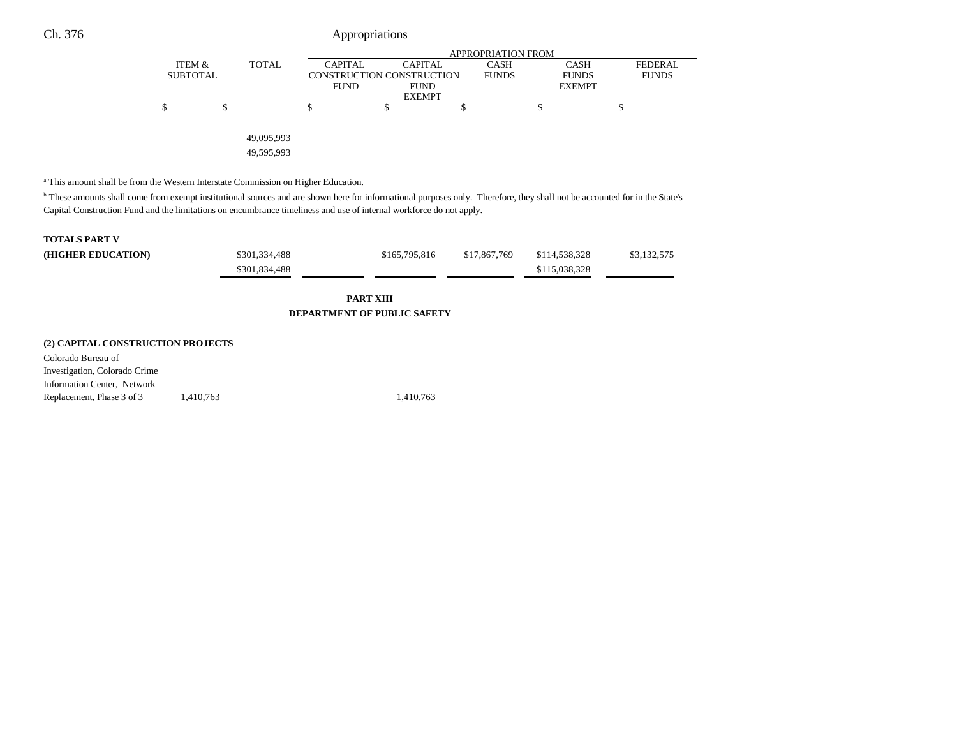|                 |              | APPROPRIATION FROM |                           |              |               |                |  |  |
|-----------------|--------------|--------------------|---------------------------|--------------|---------------|----------------|--|--|
| ITEM &          | <b>TOTAL</b> | <b>CAPITAL</b>     | <b>CAPITAL</b>            | <b>CASH</b>  | <b>CASH</b>   | <b>FEDERAL</b> |  |  |
| <b>SUBTOTAL</b> |              |                    | CONSTRUCTION CONSTRUCTION | <b>FUNDS</b> | <b>FUNDS</b>  | <b>FUNDS</b>   |  |  |
|                 |              | <b>FUND</b>        | <b>FUND</b>               |              | <b>EXEMPT</b> |                |  |  |
|                 |              |                    | <b>EXEMPT</b>             |              |               |                |  |  |
| \$              |              | \$                 | \$                        |              | C             | Φ              |  |  |
|                 |              |                    |                           |              |               |                |  |  |
|                 |              |                    |                           |              |               |                |  |  |
|                 | 49,095,993   |                    |                           |              |               |                |  |  |
|                 | 49,595,993   |                    |                           |              |               |                |  |  |

a This amount shall be from the Western Interstate Commission on Higher Education.

Replacement, Phase 3 of 3 1,410,763 1,410,763

b These amounts shall come from exempt institutional sources and are shown here for informational purposes only. Therefore, they shall not be accounted for in the State's Capital Construction Fund and the limitations on encumbrance timeliness and use of internal workforce do not apply.

| <b>TOTALS PART V</b>                                   |               |               |              |               |             |  |  |  |  |
|--------------------------------------------------------|---------------|---------------|--------------|---------------|-------------|--|--|--|--|
| (HIGHER EDUCATION)                                     | \$301,334,488 | \$165,795,816 | \$17,867,769 | \$114,538,328 | \$3,132,575 |  |  |  |  |
|                                                        | \$301,834,488 |               |              | \$115,038,328 |             |  |  |  |  |
| <b>PART XIII</b><br><b>DEPARTMENT OF PUBLIC SAFETY</b> |               |               |              |               |             |  |  |  |  |
| (2) CAPITAL CONSTRUCTION PROJECTS                      |               |               |              |               |             |  |  |  |  |
| Colorado Bureau of                                     |               |               |              |               |             |  |  |  |  |
| Investigation, Colorado Crime                          |               |               |              |               |             |  |  |  |  |
| Information Center, Network                            |               |               |              |               |             |  |  |  |  |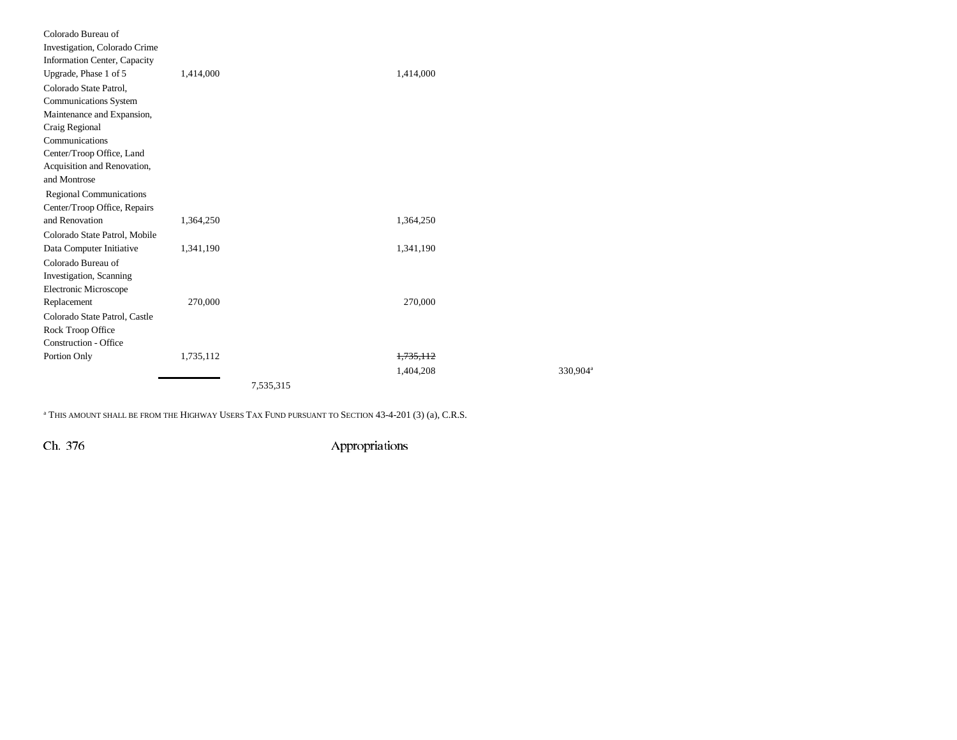| Colorado Bureau of<br>Investigation, Colorado Crime |           |           |                      |
|-----------------------------------------------------|-----------|-----------|----------------------|
| <b>Information Center, Capacity</b>                 |           |           |                      |
| Upgrade, Phase 1 of 5                               | 1,414,000 | 1,414,000 |                      |
| Colorado State Patrol,                              |           |           |                      |
| <b>Communications System</b>                        |           |           |                      |
| Maintenance and Expansion,                          |           |           |                      |
| Craig Regional                                      |           |           |                      |
| Communications                                      |           |           |                      |
| Center/Troop Office, Land                           |           |           |                      |
| Acquisition and Renovation,                         |           |           |                      |
| and Montrose                                        |           |           |                      |
| <b>Regional Communications</b>                      |           |           |                      |
| Center/Troop Office, Repairs                        |           |           |                      |
| and Renovation                                      | 1,364,250 | 1,364,250 |                      |
| Colorado State Patrol, Mobile                       |           |           |                      |
| Data Computer Initiative                            | 1,341,190 | 1,341,190 |                      |
| Colorado Bureau of                                  |           |           |                      |
| Investigation, Scanning                             |           |           |                      |
| Electronic Microscope                               |           |           |                      |
| Replacement                                         | 270,000   | 270,000   |                      |
| Colorado State Patrol, Castle                       |           |           |                      |
| Rock Troop Office                                   |           |           |                      |
| <b>Construction - Office</b>                        |           |           |                      |
| Portion Only                                        | 1,735,112 | 1,735,112 |                      |
|                                                     |           | 1,404,208 | 330.904 <sup>a</sup> |
|                                                     |           | 7,535,315 |                      |

a THIS AMOUNT SHALL BE FROM THE HIGHWAY USERS TAX FUND PURSUANT TO SECTION 43-4-201 (3) (a), C.R.S.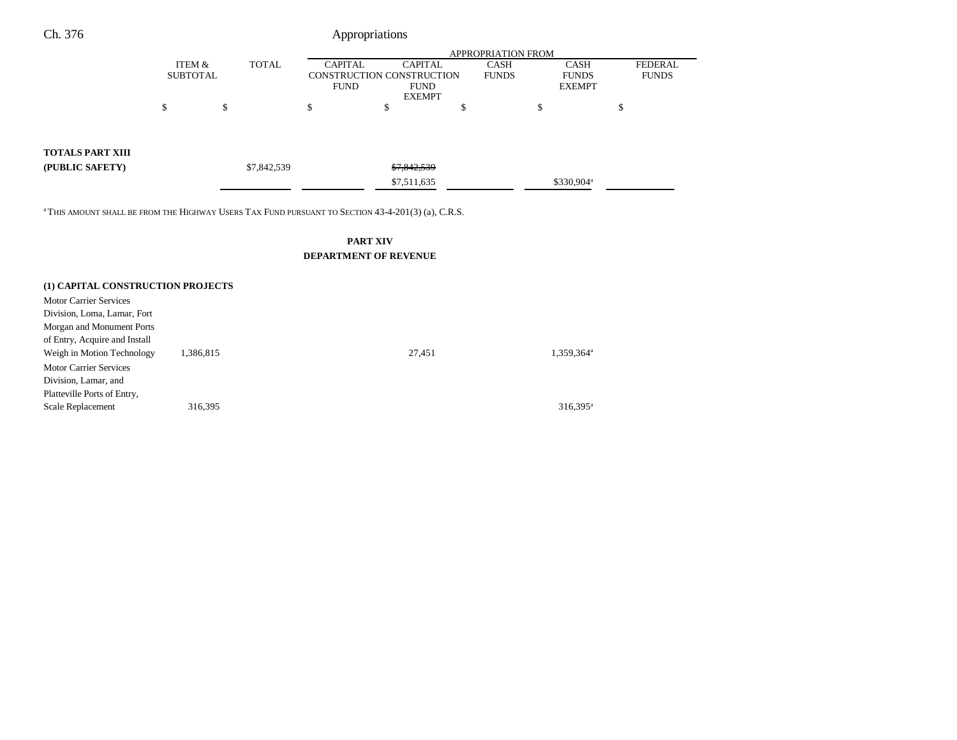### APPROPRIATION FROMITEM &**SUBTOTAL** TOTAL CAPITAL CONSTRUCTION CONSTRUCTION FUND CAPITAL FUND EXEMPTCASH FUNDS CASH FUNDS EXEMPTFEDERAL FUNDS  $\begin{array}{ccccccccccc} \mathsf{s} & \mathsf{s} & \mathsf{s} & \mathsf{s} & \mathsf{s} & \mathsf{s} & \mathsf{s} & \mathsf{s} & \mathsf{s} & \mathsf{s} & \mathsf{s} & \mathsf{s} & \mathsf{s} & \mathsf{s} & \mathsf{s} & \mathsf{s} & \mathsf{s} & \mathsf{s} & \mathsf{s} & \mathsf{s} & \mathsf{s} & \mathsf{s} & \mathsf{s} & \mathsf{s} & \mathsf{s} & \mathsf{s} & \mathsf{s} & \mathsf{s} & \mathsf{s} & \mathsf{s} & \mathsf{s} & \mathsf{s} & \mathsf{s} & \mathsf{s} & \mathsf{s} & \$ Ch. 376 Appropriations **TOTALS PART XIII (PUBLIC SAFETY)** \$7,842,539 \$7,842,539 \$7,511,635 \$330,904<sup>a</sup>

<sup>a</sup> THIS AMOUNT SHALL BE FROM THE HIGHWAY USERS TAX FUND PURSUANT TO SECTION 43-4-201(3) (a), C.R.S.

## **PART XIV DEPARTMENT OF REVENUE**

## **(1) CAPITAL CONSTRUCTION PROJECTS** Motor Carrier ServicesDivision, Loma, Lamar, Fort Morgan and Monument Ports of Entry, Acquire and Install Weigh in Motion Technology 1,386,815 27,451 1,359,364<sup>a</sup> 1,359,364<sup>a</sup> Motor Carrier Services Division, Lamar, and Platteville Ports of Entry, Scale Replacement 316,395<sup>a</sup> 316,395<sup>a</sup> 316,395<sup>a</sup>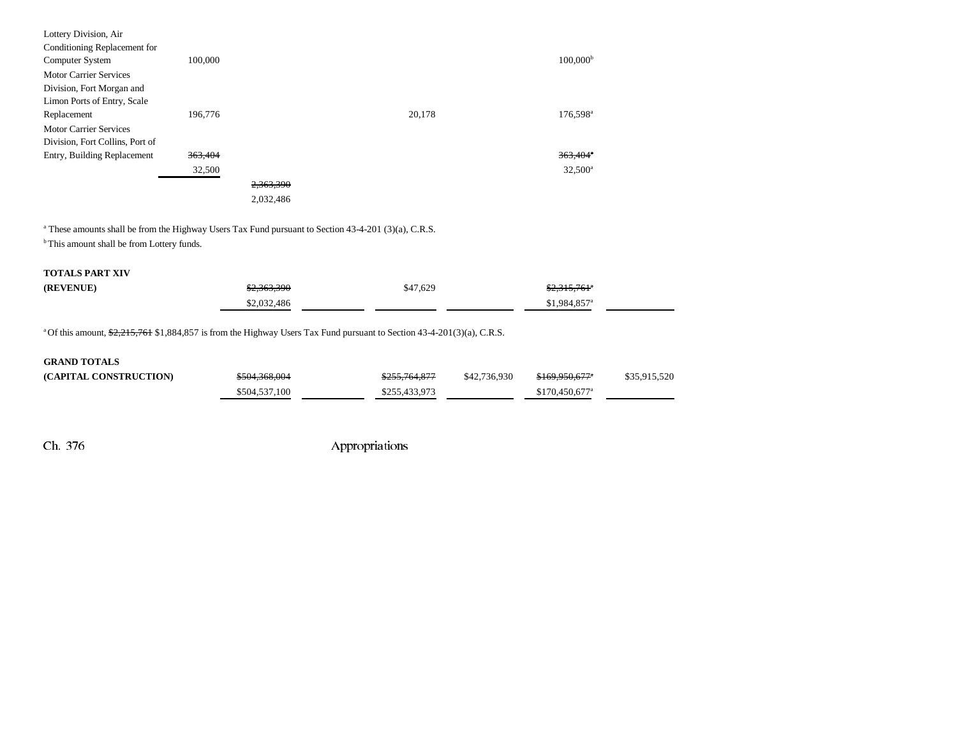| Lottery Division, Air           |         |           |        |                        |
|---------------------------------|---------|-----------|--------|------------------------|
| Conditioning Replacement for    |         |           |        |                        |
| Computer System                 | 100,000 |           |        | 100.000 <sup>b</sup>   |
| <b>Motor Carrier Services</b>   |         |           |        |                        |
| Division, Fort Morgan and       |         |           |        |                        |
| Limon Ports of Entry, Scale     |         |           |        |                        |
| Replacement                     | 196,776 |           | 20,178 | 176,598 <sup>a</sup>   |
| <b>Motor Carrier Services</b>   |         |           |        |                        |
| Division, Fort Collins, Port of |         |           |        |                        |
| Entry, Building Replacement     | 363,404 |           |        | $363,404$ <sup>*</sup> |
|                                 | 32,500  |           |        | 32,500 <sup>a</sup>    |
|                                 |         | 2,363,390 |        |                        |
|                                 |         | 2,032,486 |        |                        |
|                                 |         |           |        |                        |

<sup>a</sup> These amounts shall be from the Highway Users Tax Fund pursuant to Section 43-4-201 (3)(a), C.R.S.

 $^{\rm b}$  This amount shall be from Lottery funds.

### **TOTALS PART XIV**

| (REVENUE) | \$2,363,390 | \$47,629 | <del>\$2,315,761</del> ° |  |
|-----------|-------------|----------|--------------------------|--|
|           | \$2,032,486 |          | \$1,984,857ª             |  |

<sup>a</sup> Of this amount, \$2,215,761 \$1,884,857 is from the Highway Users Tax Fund pursuant to Section 43-4-201(3)(a), C.R.S.

| <b>GRAND TOTALS</b>    |               |               |              |                             |              |
|------------------------|---------------|---------------|--------------|-----------------------------|--------------|
| (CAPITAL CONSTRUCTION) | \$504,368,004 | \$255,764,877 | \$42,736,930 | <del>\$169,950,677</del> *  | \$35,915,520 |
|                        | \$504,537,100 | \$255,433,973 |              | $$170.450.677$ <sup>a</sup> |              |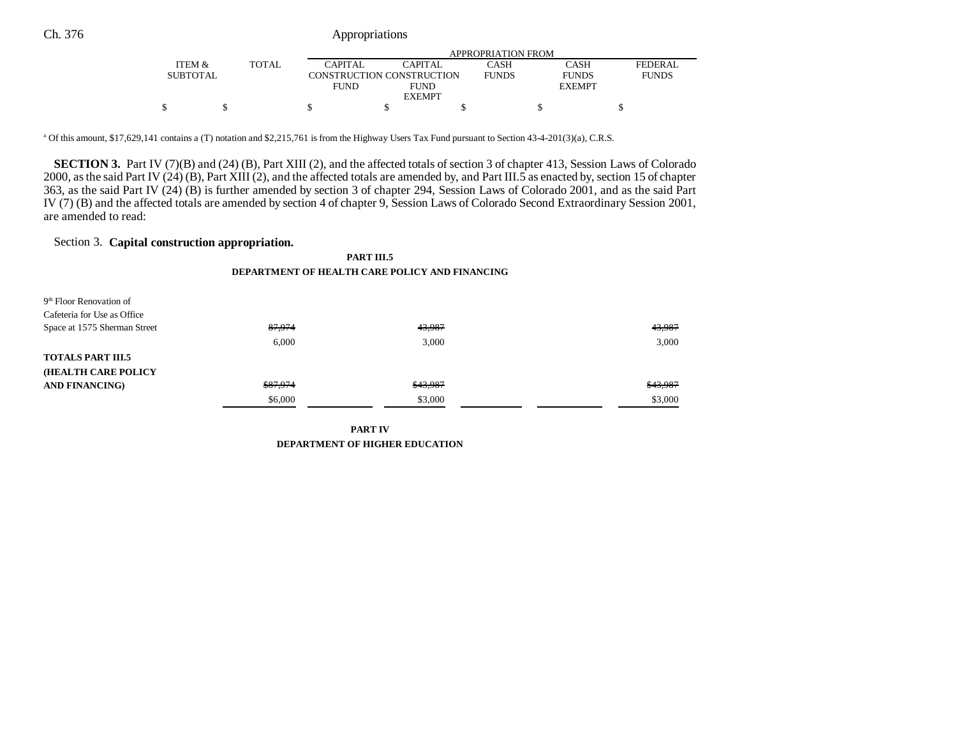|                 |       |             |                           | APPROPRIATION FROM |               |              |
|-----------------|-------|-------------|---------------------------|--------------------|---------------|--------------|
| ITEM &          | TOTAL | CAPITAL     | CAPITAL                   | CASH               | CASH          | FEDERAL      |
| <b>SUBTOTAL</b> |       |             | CONSTRUCTION CONSTRUCTION | <b>FUNDS</b>       | <b>FUNDS</b>  | <b>FUNDS</b> |
|                 |       | <b>FUND</b> | <b>FUND</b>               |                    | <b>EXEMPT</b> |              |
|                 |       |             | <b>EXEMPT</b>             |                    |               |              |
|                 |       |             |                           |                    |               |              |

a Of this amount, \$17,629,141 contains a (T) notation and \$2,215,761 is from the Highway Users Tax Fund pursuant to Section 43-4-201(3)(a), C.R.S.

**SECTION 3.** Part IV (7)(B) and (24) (B), Part XIII (2), and the affected totals of section 3 of chapter 413, Session Laws of Colorado 2000, as the said Part IV (24) (B), Part XIII (2), and the affected totals are amended by, and Part III.5 as enacted by, section 15 of chapter 363, as the said Part IV (24) (B) is further amended by section 3 of chapter 294, Session Laws of Colorado 2001, and as the said Part IV (7) (B) and the affected totals are amended by section 4 of chapter 9, Session Laws of Colorado Second Extraordinary Session 2001, are amended to read:

## Section 3. **Capital construction appropriation.**

**PART III.5 DEPARTMENT OF HEALTH CARE POLICY AND FINANCING**

| 9 <sup>th</sup> Floor Renovation of |          |          |          |
|-------------------------------------|----------|----------|----------|
| Cafeteria for Use as Office         |          |          |          |
| Space at 1575 Sherman Street        | 87,974   | 43,987   | 43,987   |
|                                     | 6.000    | 3.000    | 3.000    |
| <b>TOTALS PART III.5</b>            |          |          |          |
| <b>(HEALTH CARE POLICY)</b>         |          |          |          |
| <b>AND FINANCING)</b>               | \$87,974 | \$43,987 | \$43,987 |
|                                     | \$6,000  | \$3,000  | \$3,000  |

**PART IV DEPARTMENT OF HIGHER EDUCATION**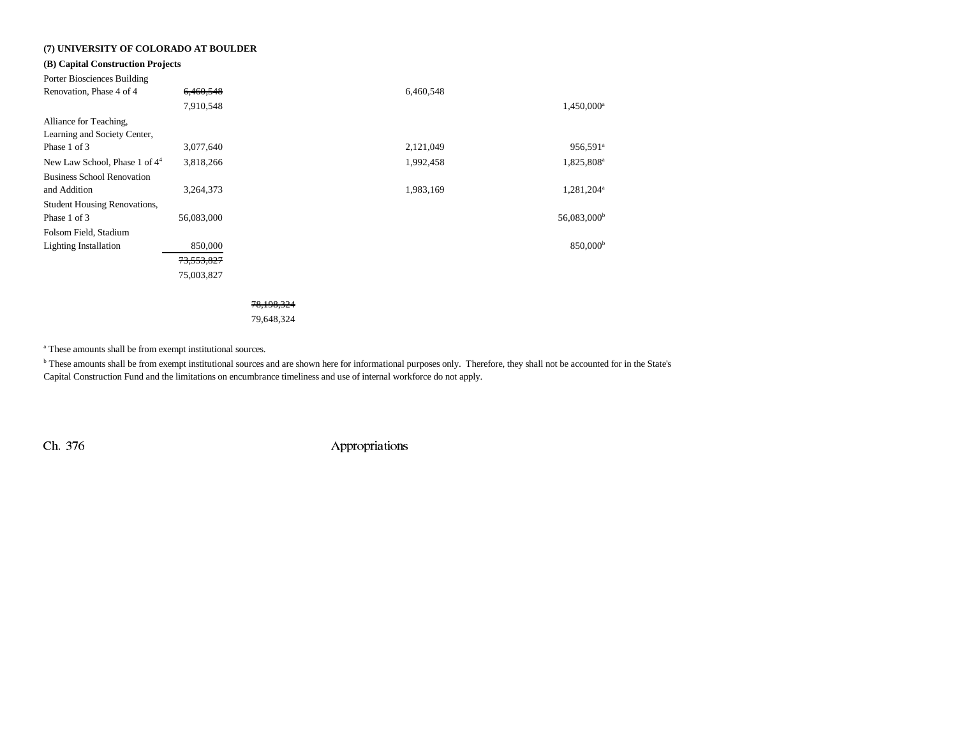## **(7) UNIVERSITY OF COLORADO AT BOULDER**

## **(B) Capital Construction Projects**

| Porter Biosciences Building               |            |            |           |                         |
|-------------------------------------------|------------|------------|-----------|-------------------------|
| Renovation, Phase 4 of 4                  | 6,460,548  |            | 6,460,548 |                         |
|                                           | 7,910,548  |            |           | 1,450,000 <sup>a</sup>  |
| Alliance for Teaching,                    |            |            |           |                         |
| Learning and Society Center,              |            |            |           |                         |
| Phase 1 of 3                              | 3,077,640  |            | 2,121,049 | 956,591 <sup>a</sup>    |
| New Law School, Phase 1 of 4 <sup>4</sup> | 3,818,266  |            | 1,992,458 | 1,825,808 <sup>a</sup>  |
| <b>Business School Renovation</b>         |            |            |           |                         |
| and Addition                              | 3,264,373  |            | 1,983,169 | 1,281,204 <sup>a</sup>  |
| <b>Student Housing Renovations,</b>       |            |            |           |                         |
| Phase 1 of 3                              | 56,083,000 |            |           | 56,083,000 <sup>b</sup> |
| Folsom Field, Stadium                     |            |            |           |                         |
| <b>Lighting Installation</b>              | 850,000    |            |           | 850,000 <sup>b</sup>    |
|                                           | 73,553,827 |            |           |                         |
|                                           | 75,003,827 |            |           |                         |
|                                           |            |            |           |                         |
|                                           |            | 78,198,324 |           |                         |
|                                           |            | 79,648,324 |           |                         |

a These amounts shall be from exempt institutional sources.

b These amounts shall be from exempt institutional sources and are shown here for informational purposes only. Therefore, they shall not be accounted for in the State's Capital Construction Fund and the limitations on encumbrance timeliness and use of internal workforce do not apply.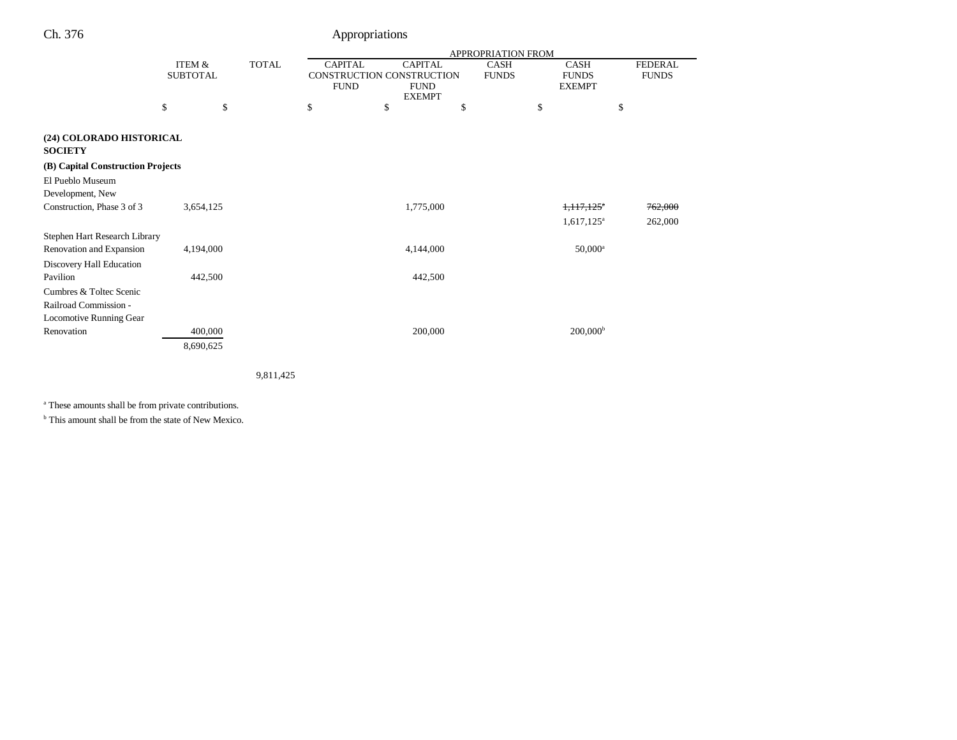|                                            |                           |              |                                             |                              | <b>APPROPRIATION FROM</b>   |                             |                                |
|--------------------------------------------|---------------------------|--------------|---------------------------------------------|------------------------------|-----------------------------|-----------------------------|--------------------------------|
|                                            | ITEM &<br><b>SUBTOTAL</b> | <b>TOTAL</b> | <b>CAPITAL</b><br>CONSTRUCTION CONSTRUCTION | <b>CAPITAL</b>               | <b>CASH</b><br><b>FUNDS</b> | <b>CASH</b><br><b>FUNDS</b> | <b>FEDERAL</b><br><b>FUNDS</b> |
|                                            |                           |              | <b>FUND</b>                                 | <b>FUND</b><br><b>EXEMPT</b> |                             | <b>EXEMPT</b>               |                                |
|                                            | \$                        | \$           | \$                                          | \$<br>\$                     |                             | \$                          | \$                             |
| (24) COLORADO HISTORICAL<br><b>SOCIETY</b> |                           |              |                                             |                              |                             |                             |                                |
| (B) Capital Construction Projects          |                           |              |                                             |                              |                             |                             |                                |
| El Pueblo Museum                           |                           |              |                                             |                              |                             |                             |                                |
| Development, New                           |                           |              |                                             |                              |                             |                             |                                |
| Construction, Phase 3 of 3                 | 3,654,125                 |              |                                             | 1,775,000                    |                             | $1,117,125$ <sup>a</sup>    | 762,000                        |
|                                            |                           |              |                                             |                              |                             | $1,617,125^a$               | 262,000                        |
| Stephen Hart Research Library              |                           |              |                                             |                              |                             |                             |                                |
| Renovation and Expansion                   | 4,194,000                 |              |                                             | 4,144,000                    |                             | $50,000^a$                  |                                |
| Discovery Hall Education                   |                           |              |                                             |                              |                             |                             |                                |
| Pavilion                                   | 442,500                   |              |                                             | 442,500                      |                             |                             |                                |
| Cumbres & Toltec Scenic                    |                           |              |                                             |                              |                             |                             |                                |
| Railroad Commission -                      |                           |              |                                             |                              |                             |                             |                                |
| Locomotive Running Gear                    |                           |              |                                             |                              |                             |                             |                                |
| Renovation                                 | 400,000                   |              |                                             | 200,000                      |                             | $200,000^{\rm b}$           |                                |
|                                            | 8,690,625                 |              |                                             |                              |                             |                             |                                |
|                                            |                           |              |                                             |                              |                             |                             |                                |

9,811,425

a These amounts shall be from private contributions.

b This amount shall be from the state of New Mexico.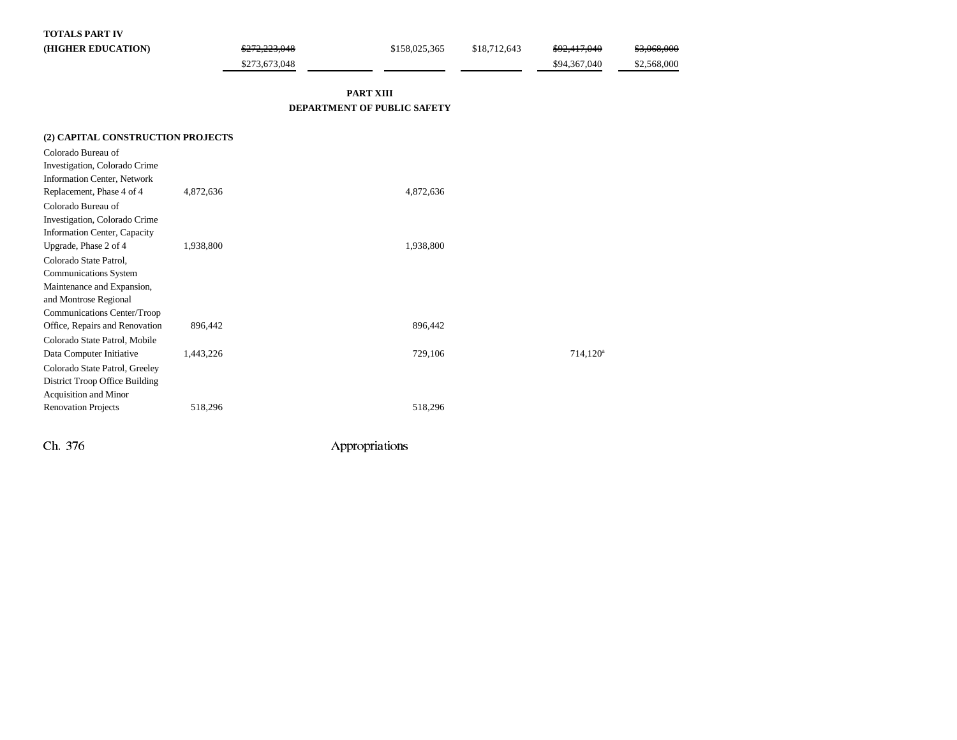### **TOTALS PART IV**

| (HIGHER EDUCATION) | \$272,223,048 | \$158,025,365 | \$18,712,643 | \$92,417,040 | \$3,068,000 |
|--------------------|---------------|---------------|--------------|--------------|-------------|
|                    | \$273,673,048 |               |              | \$94,367,040 | \$2,568,000 |

## **PART XIII DEPARTMENT OF PUBLIC SAFETY**

| (2) CAPITAL CONSTRUCTION PROJECTS  |           |           |             |
|------------------------------------|-----------|-----------|-------------|
| Colorado Bureau of                 |           |           |             |
| Investigation, Colorado Crime      |           |           |             |
| <b>Information Center, Network</b> |           |           |             |
| Replacement, Phase 4 of 4          | 4,872,636 | 4,872,636 |             |
| Colorado Bureau of                 |           |           |             |
| Investigation, Colorado Crime      |           |           |             |
| Information Center, Capacity       |           |           |             |
| Upgrade, Phase 2 of 4              | 1,938,800 | 1,938,800 |             |
| Colorado State Patrol,             |           |           |             |
| <b>Communications System</b>       |           |           |             |
| Maintenance and Expansion,         |           |           |             |
| and Montrose Regional              |           |           |             |
| Communications Center/Troop        |           |           |             |
| Office, Repairs and Renovation     | 896,442   | 896,442   |             |
| Colorado State Patrol, Mobile      |           |           |             |
| Data Computer Initiative           | 1,443,226 | 729,106   | $714,120^a$ |
| Colorado State Patrol, Greeley     |           |           |             |
| District Troop Office Building     |           |           |             |
| Acquisition and Minor              |           |           |             |
| <b>Renovation Projects</b>         | 518,296   | 518,296   |             |
|                                    |           |           |             |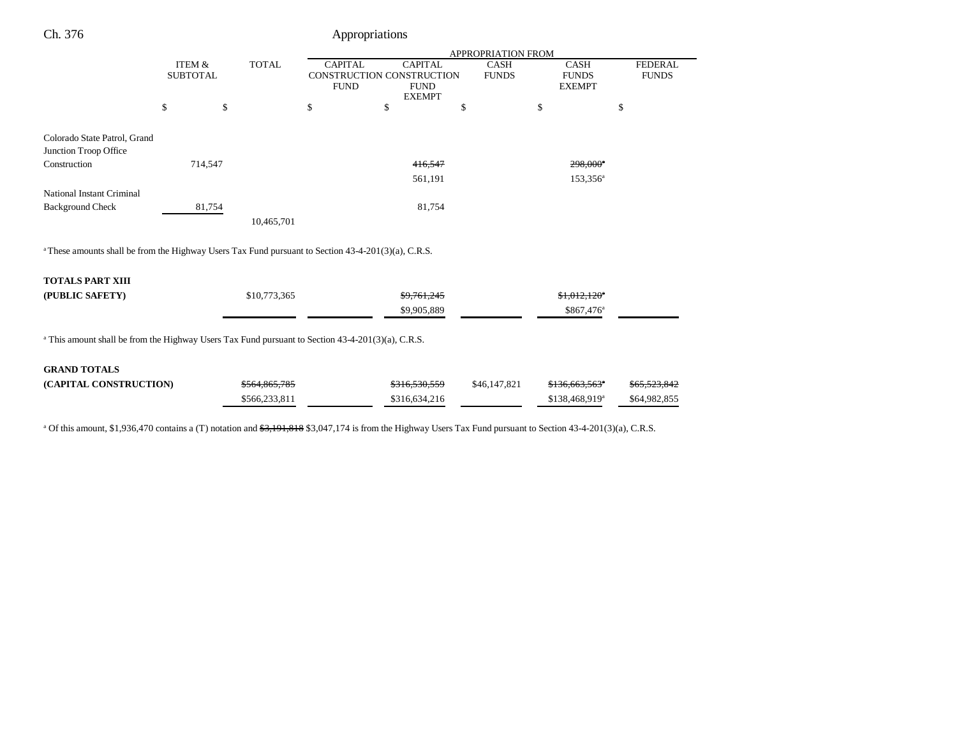| Ch. 376                                                                                                         |                                      |        |               |                                                            | Appropriations                                 |         |                             |                                                     |                                |
|-----------------------------------------------------------------------------------------------------------------|--------------------------------------|--------|---------------|------------------------------------------------------------|------------------------------------------------|---------|-----------------------------|-----------------------------------------------------|--------------------------------|
|                                                                                                                 | APPROPRIATION FROM                   |        |               |                                                            |                                                |         |                             |                                                     |                                |
|                                                                                                                 | <b>ITEM &amp;</b><br><b>SUBTOTAL</b> |        | <b>TOTAL</b>  | <b>CAPITAL</b><br>CONSTRUCTION CONSTRUCTION<br><b>FUND</b> | <b>CAPITAL</b><br><b>FUND</b><br><b>EXEMPT</b> |         | <b>CASH</b><br><b>FUNDS</b> | <b>CASH</b><br><b>FUNDS</b><br><b>EXEMPT</b>        | <b>FEDERAL</b><br><b>FUNDS</b> |
|                                                                                                                 | \$                                   | \$     |               | \$                                                         | \$                                             | \$      |                             | \$                                                  | \$                             |
| Colorado State Patrol, Grand<br>Junction Troop Office                                                           |                                      |        |               |                                                            |                                                |         |                             |                                                     |                                |
| Construction                                                                                                    | 714,547                              |        |               |                                                            |                                                | 416,547 |                             | 298,000 <sup>e</sup>                                |                                |
|                                                                                                                 |                                      |        |               |                                                            |                                                | 561,191 |                             | 153,356 <sup>a</sup>                                |                                |
| National Instant Criminal                                                                                       |                                      |        |               |                                                            |                                                |         |                             |                                                     |                                |
| <b>Background Check</b>                                                                                         |                                      | 81,754 |               |                                                            |                                                | 81,754  |                             |                                                     |                                |
|                                                                                                                 |                                      |        | 10,465,701    |                                                            |                                                |         |                             |                                                     |                                |
| <sup>a</sup> These amounts shall be from the Highway Users Tax Fund pursuant to Section 43-4-201(3)(a), C.R.S.  |                                      |        |               |                                                            |                                                |         |                             |                                                     |                                |
| <b>TOTALS PART XIII</b>                                                                                         |                                      |        |               |                                                            |                                                |         |                             |                                                     |                                |
| (PUBLIC SAFETY)                                                                                                 |                                      |        | \$10,773,365  |                                                            | \$9,761,245<br>\$9,905,889                     |         |                             | $$1,012,120$ <sup>a</sup><br>\$867,476 <sup>a</sup> |                                |
| <sup>a</sup> This amount shall be from the Highway Users Tax Fund pursuant to Section $43-4-201(3)(a)$ , C.R.S. |                                      |        |               |                                                            |                                                |         |                             |                                                     |                                |
| <b>GRAND TOTALS</b>                                                                                             |                                      |        |               |                                                            |                                                |         |                             |                                                     |                                |
| (CAPITAL CONSTRUCTION)                                                                                          |                                      |        | \$564,865,785 |                                                            | \$316,530,559                                  |         | \$46,147,821                | \$136,663,563 <sup>*</sup>                          |                                |
|                                                                                                                 |                                      |        | \$566,233,811 |                                                            | \$316,634,216                                  |         |                             | \$138,468,919 <sup>a</sup>                          | \$64,982,855                   |

<sup>a</sup> Of this amount, \$1,936,470 contains a (T) notation and <del>\$3,191,818</del> \$3,047,174 is from the Highway Users Tax Fund pursuant to Section 43-4-201(3)(a), C.R.S.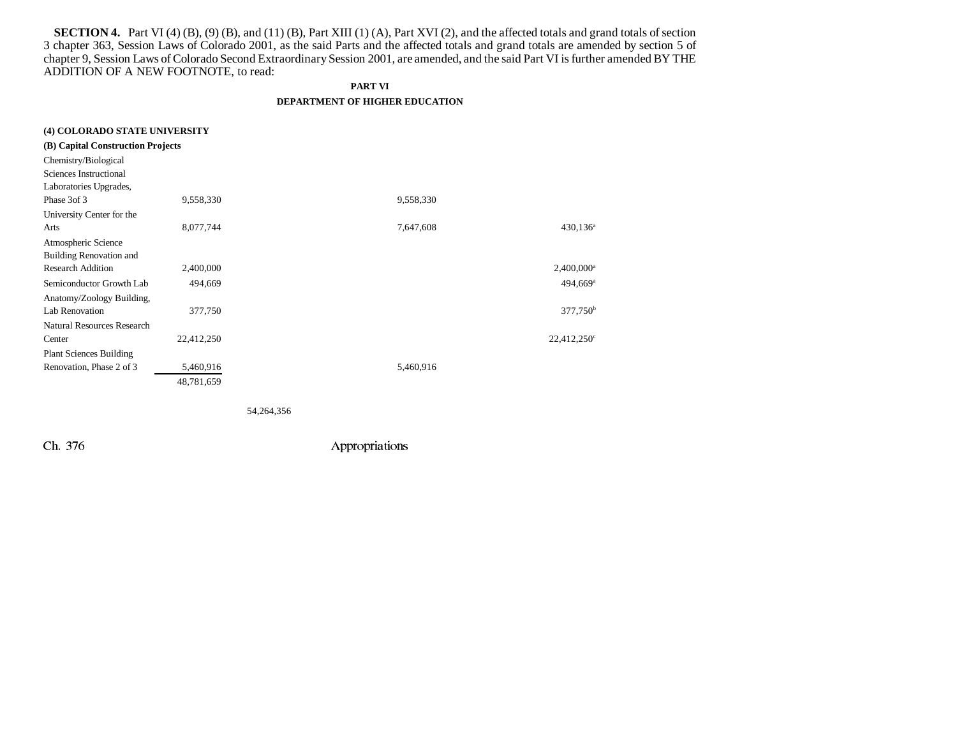**SECTION 4.** Part VI (4) (B), (9) (B), and (11) (B), Part XIII (1) (A), Part XVI (2), and the affected totals and grand totals of section 3 chapter 363, Session Laws of Colorado 2001, as the said Parts and the affected totals and grand totals are amended by section 5 of chapter 9, Session Laws of Colorado Second Extraordinary Session 2001, are amended, and the said Part VI is further amended BY THE ADDITION OF A NEW FOOTNOTE, to read:

### **PART VI**

### **DEPARTMENT OF HIGHER EDUCATION**

| (4) COLORADO STATE UNIVERSITY     |            |                                |
|-----------------------------------|------------|--------------------------------|
| (B) Capital Construction Projects |            |                                |
| Chemistry/Biological              |            |                                |
| Sciences Instructional            |            |                                |
| Laboratories Upgrades,            |            |                                |
| Phase 3of 3                       | 9,558,330  | 9,558,330                      |
| University Center for the         |            |                                |
| Arts                              | 8,077,744  | 7,647,608<br>$430,136^{\rm a}$ |
| Atmospheric Science               |            |                                |
| <b>Building Renovation and</b>    |            |                                |
| <b>Research Addition</b>          | 2,400,000  | $2,400,000$ <sup>a</sup>       |
| Semiconductor Growth Lab          | 494,669    | $494,669$ <sup>a</sup>         |
| Anatomy/Zoology Building,         |            |                                |
| Lab Renovation                    | 377,750    | $377,750^{\rm b}$              |
| <b>Natural Resources Research</b> |            |                                |
| Center                            | 22,412,250 | $22,412,250^{\circ}$           |
| <b>Plant Sciences Building</b>    |            |                                |
| Renovation, Phase 2 of 3          | 5,460,916  | 5,460,916                      |
|                                   | 48,781,659 |                                |
|                                   |            |                                |
|                                   |            |                                |

54,264,356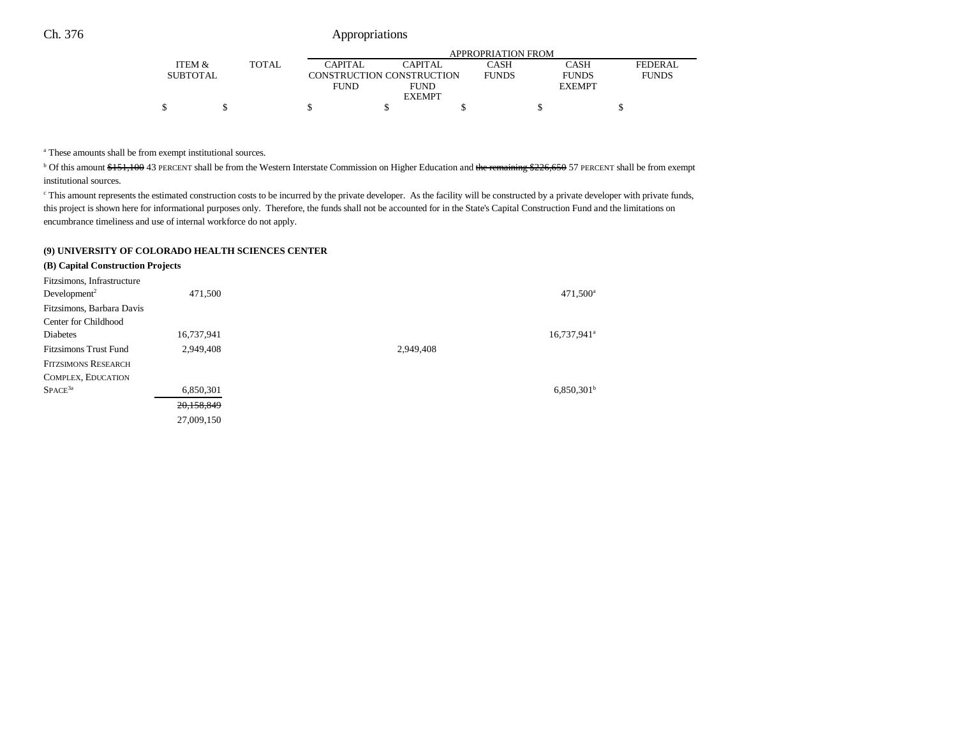|                 |       |             | APPROPRIATION FROM        |              |               |                |  |  |  |
|-----------------|-------|-------------|---------------------------|--------------|---------------|----------------|--|--|--|
| ITEM &          | TOTAL | CAPITAL     | CAPITAL                   | CASH         | CASH          | <b>FEDERAL</b> |  |  |  |
| <b>SUBTOTAL</b> |       |             | CONSTRUCTION CONSTRUCTION | <b>FUNDS</b> | <b>FUNDS</b>  | <b>FUNDS</b>   |  |  |  |
|                 |       | <b>FUND</b> | <b>FUND</b>               |              | <b>EXEMPT</b> |                |  |  |  |
|                 |       |             | <b>EXEMPT</b>             |              |               |                |  |  |  |
|                 |       |             |                           |              |               |                |  |  |  |

a These amounts shall be from exempt institutional sources.

<sup>b</sup> Of this amount \$151,100 43 PERCENT shall be from the Western Interstate Commission on Higher Education and the remaining \$226,650 57 PERCENT shall be from exempt institutional sources.

<sup>e</sup> This amount represents the estimated construction costs to be incurred by the private developer. As the facility will be constructed by a private developer with private funds, this project is shown here for informational purposes only. Therefore, the funds shall not be accounted for in the State's Capital Construction Fund and the limitations on encumbrance timeliness and use of internal workforce do not apply.

### **(9) UNIVERSITY OF COLORADO HEALTH SCIENCES CENTER**

| (B) Capital Construction Projects                      |            |           |                         |
|--------------------------------------------------------|------------|-----------|-------------------------|
| Fitzsimons, Infrastructure<br>Development <sup>2</sup> | 471,500    |           | 471,500 <sup>a</sup>    |
| Fitzsimons, Barbara Davis                              |            |           |                         |
| Center for Childhood                                   |            |           |                         |
| <b>Diabetes</b>                                        | 16,737,941 |           | 16,737,941 <sup>a</sup> |
| <b>Fitzsimons Trust Fund</b>                           | 2,949,408  | 2,949,408 |                         |
| <b>FITZSIMONS RESEARCH</b>                             |            |           |                         |
| COMPLEX, EDUCATION                                     |            |           |                         |
| $SPACE^{3a}$                                           | 6,850,301  |           | $6,850,301^{\rm b}$     |
|                                                        | 20,158,849 |           |                         |
|                                                        | 27,009,150 |           |                         |
|                                                        |            |           |                         |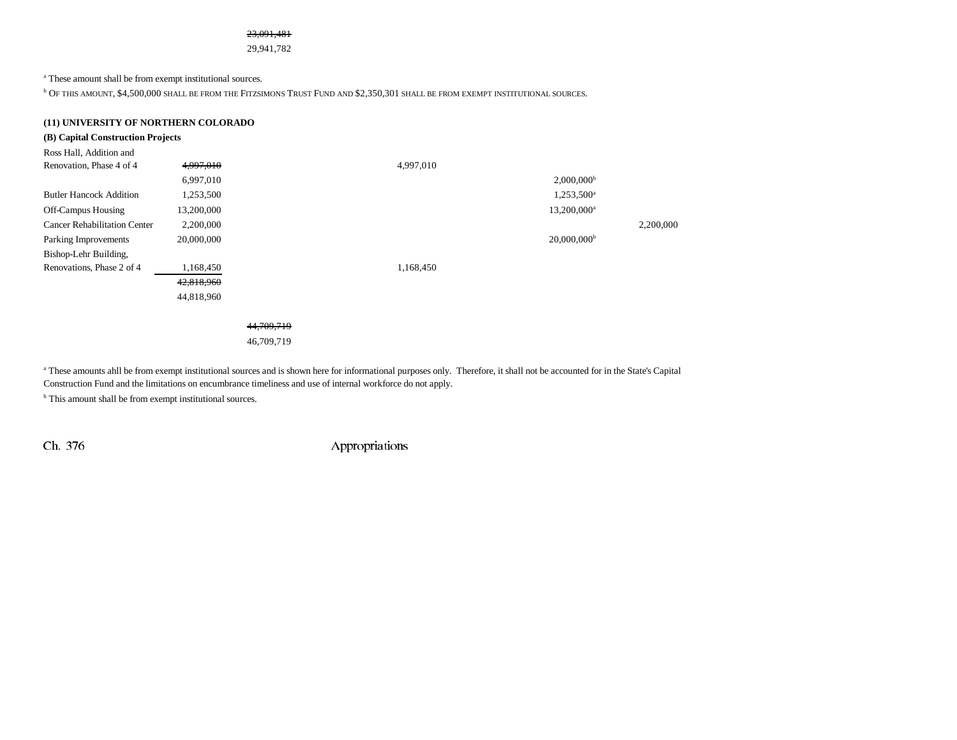### 23,091,481

29,941,782

a These amount shall be from exempt institutional sources.

 $^{\rm b}$  Of this amount, \$4,500,000 shall be from the Fitzsimons Trust Fund and \$2,350,301 shall be from exempt institutional sources.

## **(11) UNIVERSITY OF NORTHERN COLORADO**

## **(B) Capital Construction Projects**

| Ross Hall, Addition and             |            |                           |           |
|-------------------------------------|------------|---------------------------|-----------|
| Renovation, Phase 4 of 4            | 4,997,010  | 4,997,010                 |           |
|                                     | 6,997,010  | $2,000,000$ <sup>b</sup>  |           |
| <b>Butler Hancock Addition</b>      | 1,253,500  | 1,253,500 <sup>a</sup>    |           |
| <b>Off-Campus Housing</b>           | 13,200,000 | 13,200,000 <sup>a</sup>   |           |
| <b>Cancer Rehabilitation Center</b> | 2,200,000  |                           | 2,200,000 |
| Parking Improvements                | 20,000,000 | $20,000,000$ <sup>b</sup> |           |
| Bishop-Lehr Building,               |            |                           |           |
| Renovations, Phase 2 of 4           | 1,168,450  | 1,168,450                 |           |
|                                     | 42,818,960 |                           |           |
|                                     | 44,818,960 |                           |           |
|                                     |            |                           |           |

44,709,719

46,709,719

a These amounts ahll be from exempt institutional sources and is shown here for informational purposes only. Therefore, it shall not be accounted for in the State's Capital Construction Fund and the limitations on encumbrance timeliness and use of internal workforce do not apply.

<sup>b</sup> This amount shall be from exempt institutional sources.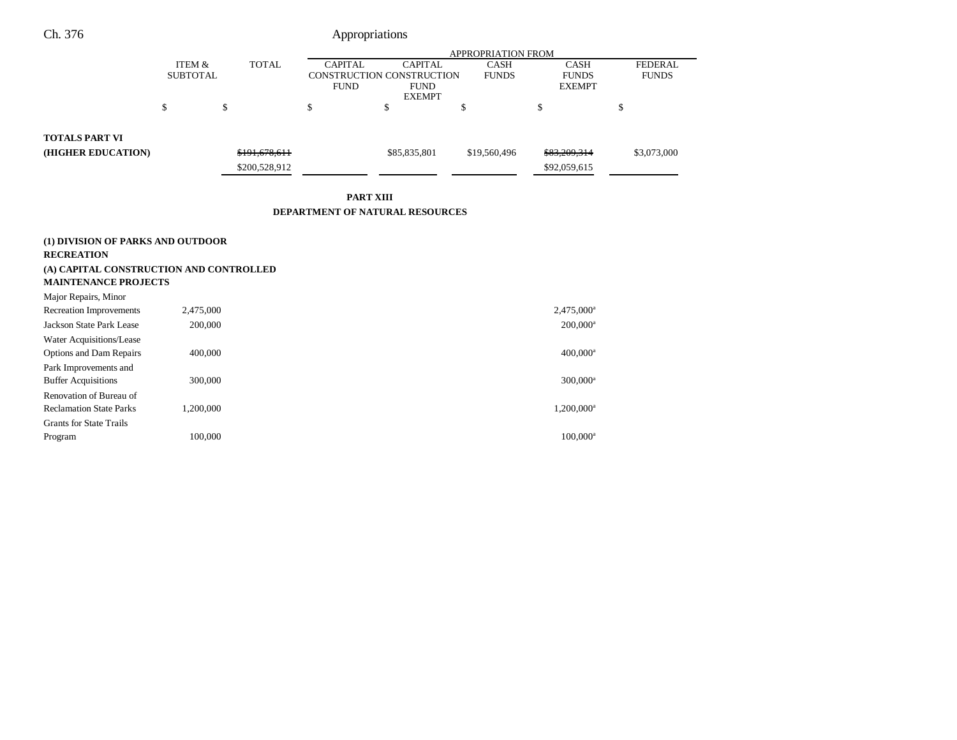|                       |                 |               |                           |                | <b>APPROPRIATION FROM</b> |               |                |
|-----------------------|-----------------|---------------|---------------------------|----------------|---------------------------|---------------|----------------|
|                       | ITEM &          | TOTAL         | <b>CAPITAL</b>            | <b>CAPITAL</b> | <b>CASH</b>               | <b>CASH</b>   | <b>FEDERAL</b> |
|                       | <b>SUBTOTAL</b> |               | CONSTRUCTION CONSTRUCTION |                | <b>FUNDS</b>              | <b>FUNDS</b>  | <b>FUNDS</b>   |
|                       |                 |               | <b>FUND</b>               | <b>FUND</b>    |                           | <b>EXEMPT</b> |                |
|                       |                 |               |                           | <b>EXEMPT</b>  |                           |               |                |
|                       | \$              | S             |                           |                |                           |               |                |
|                       |                 |               |                           |                |                           |               |                |
| <b>TOTALS PART VI</b> |                 |               |                           |                |                           |               |                |
| (HIGHER EDUCATION)    |                 | \$191,678,611 |                           | \$85,835,801   | \$19,560,496              | \$83,209,314  | \$3,073,000    |
|                       |                 | \$200,528,912 |                           |                |                           | \$92,059,615  |                |
|                       |                 |               |                           |                |                           |               |                |

**PART XIII**

### **DEPARTMENT OF NATURAL RESOURCES**

## **(1) DIVISION OF PARKS AND OUTDOOR**

### **RECREATION**

## **(A) CAPITAL CONSTRUCTION AND CONTROLLED MAINTENANCE PROJECTS**

| 2,475,000 <sup>a</sup> |
|------------------------|
|                        |
| $200,000^a$            |
|                        |
| $400,000$ <sup>a</sup> |
|                        |
| 300,000 <sup>a</sup>   |
|                        |
| 1,200,000 <sup>a</sup> |
|                        |
| $100.000$ <sup>a</sup> |
|                        |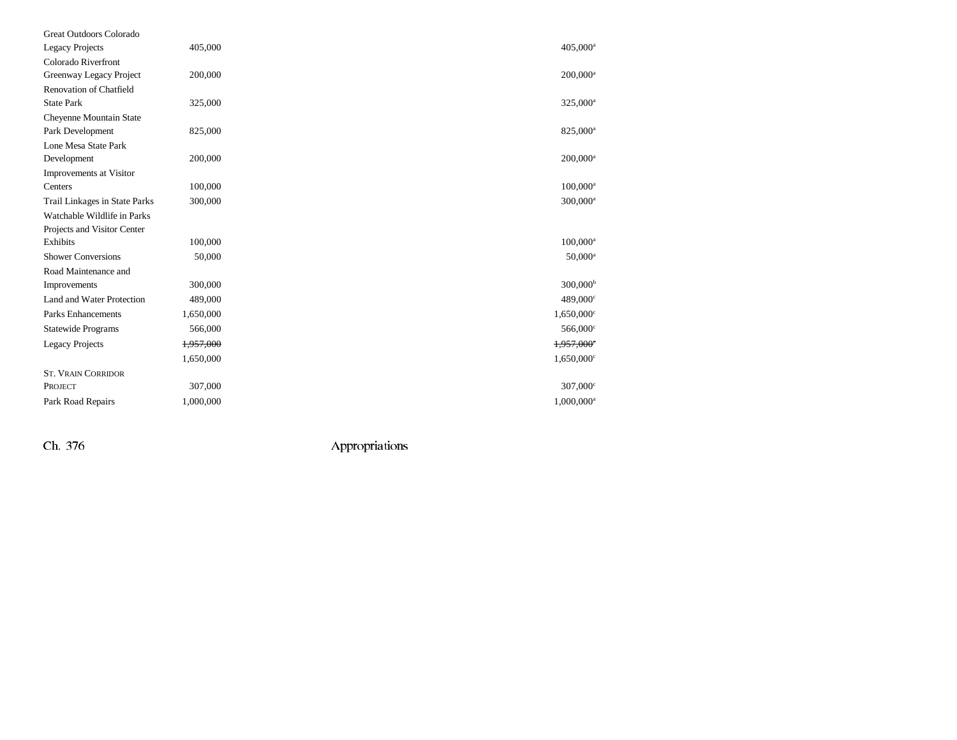| Great Outdoors Colorado       |           |                          |
|-------------------------------|-----------|--------------------------|
| <b>Legacy Projects</b>        | 405,000   | 405,000 <sup>a</sup>     |
| Colorado Riverfront           |           |                          |
| Greenway Legacy Project       | 200,000   | $200,000^a$              |
| Renovation of Chatfield       |           |                          |
| <b>State Park</b>             | 325,000   | 325,000 <sup>a</sup>     |
| Cheyenne Mountain State       |           |                          |
| Park Development              | 825,000   | 825,000 <sup>a</sup>     |
| Lone Mesa State Park          |           |                          |
| Development                   | 200,000   | $200,000^a$              |
| Improvements at Visitor       |           |                          |
| Centers                       | 100,000   | $100,000^{\rm a}$        |
| Trail Linkages in State Parks | 300,000   | 300,000 <sup>a</sup>     |
| Watchable Wildlife in Parks   |           |                          |
| Projects and Visitor Center   |           |                          |
| Exhibits                      | 100,000   | $100,000^{\rm a}$        |
| <b>Shower Conversions</b>     | 50,000    | $50,000^{\rm a}$         |
| Road Maintenance and          |           |                          |
| Improvements                  | 300,000   | $300,000^{\rm b}$        |
| Land and Water Protection     | 489,000   | $489,000^{\circ}$        |
| <b>Parks Enhancements</b>     | 1,650,000 | $1,650,000$ <sup>c</sup> |
| <b>Statewide Programs</b>     | 566,000   | 566,000°                 |
| <b>Legacy Projects</b>        | 1,957,000 | 1,957,000°               |
|                               | 1,650,000 | $1,650,000$ <sup>c</sup> |
| <b>ST. VRAIN CORRIDOR</b>     |           |                          |
| PROJECT                       | 307,000   | $307,000^{\circ}$        |
| Park Road Repairs             | 1,000,000 | $1,000,000$ <sup>a</sup> |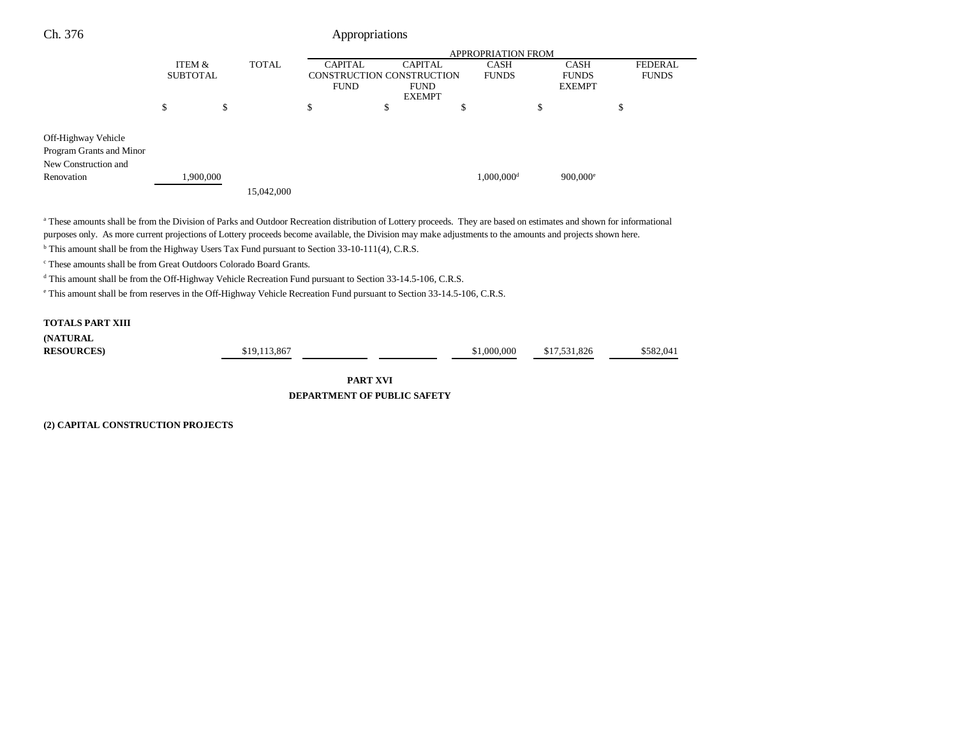|                                                                                       |                 |              |                |                           | <b>APPROPRIATION FROM</b> |                        |                |
|---------------------------------------------------------------------------------------|-----------------|--------------|----------------|---------------------------|---------------------------|------------------------|----------------|
|                                                                                       | ITEM &          | <b>TOTAL</b> | <b>CAPITAL</b> | <b>CAPITAL</b>            | CASH                      | <b>CASH</b>            | <b>FEDERAL</b> |
|                                                                                       | <b>SUBTOTAL</b> |              |                | CONSTRUCTION CONSTRUCTION | <b>FUNDS</b>              | <b>FUNDS</b>           | <b>FUNDS</b>   |
|                                                                                       |                 |              | <b>FUND</b>    | <b>FUND</b>               |                           | <b>EXEMPT</b>          |                |
|                                                                                       |                 |              |                | <b>EXEMPT</b>             |                           |                        |                |
|                                                                                       | \$              | \$           | \$             | \$<br>ъ                   |                           | \$                     | \$             |
|                                                                                       |                 |              |                |                           |                           |                        |                |
| Off-Highway Vehicle<br>Program Grants and Minor<br>New Construction and<br>Renovation | 1,900,000       | 15,042,000   |                |                           | $1,000,000$ <sup>d</sup>  | $900,000$ <sup>e</sup> |                |

a These amounts shall be from the Division of Parks and Outdoor Recreation distribution of Lottery proceeds. They are based on estimates and shown for informational purposes only. As more current projections of Lottery proceeds become available, the Division may make adjustments to the amounts and projects shown here.

<sup>b</sup> This amount shall be from the Highway Users Tax Fund pursuant to Section 33-10-111(4), C.R.S.

c These amounts shall be from Great Outdoors Colorado Board Grants.

d This amount shall be from the Off-Highway Vehicle Recreation Fund pursuant to Section 33-14.5-106, C.R.S.

e This amount shall be from reserves in the Off-Highway Vehicle Recreation Fund pursuant to Section 33-14.5-106, C.R.S.

## **TOTALS PART XIII**

**(NATURAL**

**RESOURCES**) \$19,113,867 **1200000 \$17,531,826** \$582,041

**PART XVI DEPARTMENT OF PUBLIC SAFETY**

**(2) CAPITAL CONSTRUCTION PROJECTS**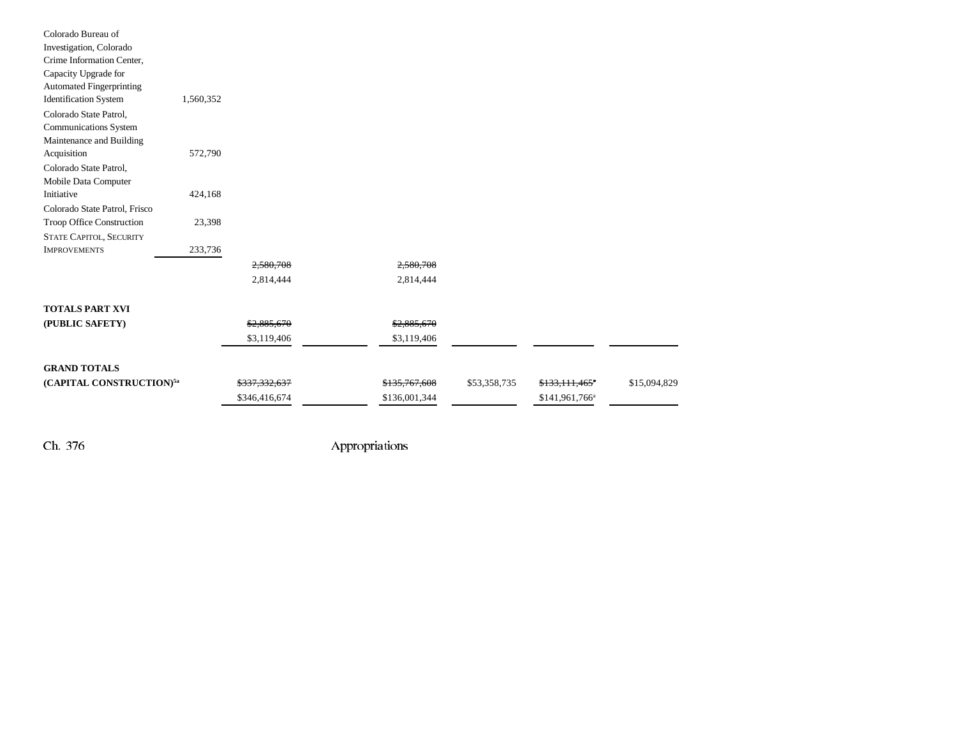| Colorado Bureau of                   |           |               |               |              |                            |              |
|--------------------------------------|-----------|---------------|---------------|--------------|----------------------------|--------------|
| Investigation, Colorado              |           |               |               |              |                            |              |
| Crime Information Center,            |           |               |               |              |                            |              |
| Capacity Upgrade for                 |           |               |               |              |                            |              |
| <b>Automated Fingerprinting</b>      |           |               |               |              |                            |              |
| <b>Identification System</b>         | 1,560,352 |               |               |              |                            |              |
| Colorado State Patrol,               |           |               |               |              |                            |              |
| Communications System                |           |               |               |              |                            |              |
| Maintenance and Building             |           |               |               |              |                            |              |
| Acquisition                          | 572,790   |               |               |              |                            |              |
| Colorado State Patrol,               |           |               |               |              |                            |              |
| Mobile Data Computer                 |           |               |               |              |                            |              |
| Initiative                           | 424,168   |               |               |              |                            |              |
| Colorado State Patrol, Frisco        |           |               |               |              |                            |              |
| Troop Office Construction            | 23,398    |               |               |              |                            |              |
| <b>STATE CAPITOL, SECURITY</b>       |           |               |               |              |                            |              |
| <b>IMPROVEMENTS</b>                  | 233,736   |               |               |              |                            |              |
|                                      |           | 2,580,708     | 2,580,708     |              |                            |              |
|                                      |           | 2,814,444     | 2,814,444     |              |                            |              |
| <b>TOTALS PART XVI</b>               |           |               |               |              |                            |              |
| (PUBLIC SAFETY)                      |           | \$2,885,670   | \$2,885,670   |              |                            |              |
|                                      |           | \$3,119,406   | \$3,119,406   |              |                            |              |
|                                      |           |               |               |              |                            |              |
| <b>GRAND TOTALS</b>                  |           |               |               |              |                            |              |
| (CAPITAL CONSTRUCTION) <sup>5a</sup> |           | \$337,332,637 | \$135,767,608 | \$53,358,735 | \$133,111,465"             | \$15,094,829 |
|                                      |           | \$346,416,674 | \$136,001,344 |              | \$141,961,766 <sup>a</sup> |              |
|                                      |           |               |               |              |                            |              |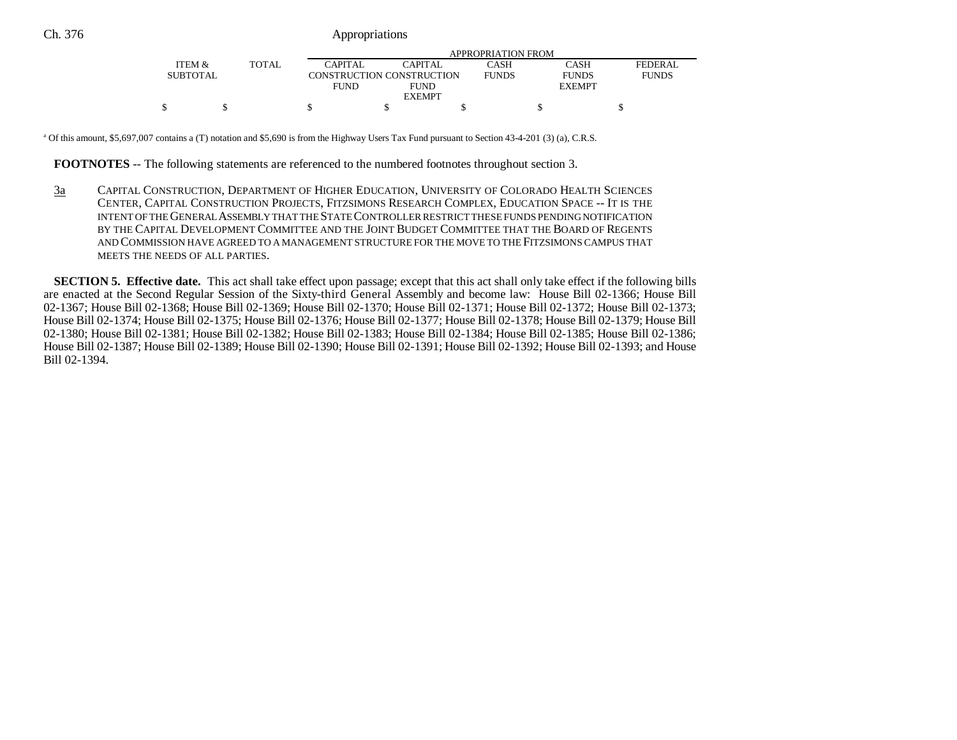|                 |       |             | APPROPRIATION FROM        |              |               |              |  |  |  |
|-----------------|-------|-------------|---------------------------|--------------|---------------|--------------|--|--|--|
| ITEM &          | TOTAL | CAPITAL     | CAPITAL                   | CASH         | CASH          | FEDERAL      |  |  |  |
| <b>SUBTOTAL</b> |       |             | CONSTRUCTION CONSTRUCTION | <b>FUNDS</b> | <b>FUNDS</b>  | <b>FUNDS</b> |  |  |  |
|                 |       | <b>FUND</b> | <b>FUND</b>               |              | <b>EXEMPT</b> |              |  |  |  |
|                 |       |             | <b>EXEMPT</b>             |              |               |              |  |  |  |
|                 |       |             |                           |              |               |              |  |  |  |

<sup>a</sup> Of this amount, \$5,697,007 contains a (T) notation and \$5,690 is from the Highway Users Tax Fund pursuant to Section 43-4-201 (3) (a), C.R.S.

**FOOTNOTES** -- The following statements are referenced to the numbered footnotes throughout section 3.

3a CAPITAL CONSTRUCTION, DEPARTMENT OF HIGHER EDUCATION, UNIVERSITY OF COLORADO HEALTH SCIENCES CENTER, CAPITAL CONSTRUCTION PROJECTS, FITZSIMONS RESEARCH COMPLEX, EDUCATION SPACE -- IT IS THE INTENT OF THE GENERAL ASSEMBLY THAT THE STATE CONTROLLER RESTRICT THESE FUNDS PENDING NOTIFICATION BY THE CAPITAL DEVELOPMENT COMMITTEE AND THE JOINT BUDGET COMMITTEE THAT THE BOARD OF REGENTSAND COMMISSION HAVE AGREED TO A MANAGEMENT STRUCTURE FOR THE MOVE TO THE FITZSIMONS CAMPUS THATMEETS THE NEEDS OF ALL PARTIES.

**SECTION 5. Effective date.** This act shall take effect upon passage; except that this act shall only take effect if the following bills are enacted at the Second Regular Session of the Sixty-third General Assembly and become law: House Bill 02-1366; House Bill 02-1367; House Bill 02-1368; House Bill 02-1369; House Bill 02-1370; House Bill 02-1371; House Bill 02-1372; House Bill 02-1373; House Bill 02-1374; House Bill 02-1375; House Bill 02-1376; House Bill 02-1377; House Bill 02-1378; House Bill 02-1379; House Bill 02-1380; House Bill 02-1381; House Bill 02-1382; House Bill 02-1383; House Bill 02-1384; House Bill 02-1385; House Bill 02-1386; House Bill 02-1387; House Bill 02-1389; House Bill 02-1390; House Bill 02-1391; House Bill 02-1392; House Bill 02-1393; and House Bill 02-1394.